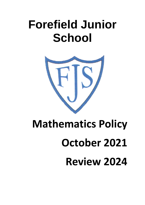## **Forefield Junior School**



# **Mathematics Policy October 2021 Review 2024**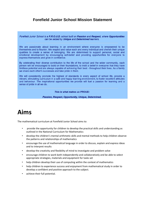#### **Forefield Junior School Mission Statement**

Forefield Junior School is a P.R.O.U.D. school built on Passion and Respect, where Opportunities can be seized by Unique and Determined learners.

We are passionate about learning in an environment where everyone is empowered to be themselves and to flourish. We respect and value each and every individual and cherish their unique qualities to create a sense of belonging. We are determined to support personal, social and emotional development by encouraging self-belief and providing opportunities for everyone to express themselves and grow in confidence.

By celebrating their diverse contribution to the life of the school and the wider community, each person will be encouraged to build on their foundations, to instil a belief in everyone that they have limitless potential and are always capable of achieving their best - throughout their lives. As a family we share each other's successes and take pride in them.

We will consistently promote the highest of standards in every aspect of school life, provide a vibrant, stimulating curriculum in a safe and happy learning environment, to foster excellent attitudes and behaviour. The inspirational opportunities we provide will fuel a passion for learning and a sense of pride in all we do.

This is what makes us PROUD:

Passion, Respect, Opportunity, Unique, Determined.

## **Aims**

The mathematical curriculum at Forefield Junior School aims to:

- provide the opportunity for children to develop the practical skills and understanding as outlined in the National Curriculum for Mathematics
- develop the children's mental arithmetic skills and mental methods to help children observe the patterns and relationships of mathematics
- encourage the use of mathematical language in order to discuss, explain and express ideas and to interpret results
- develop the creativity and flexibility of mind to investigate and problem solve
- encourage children to work both independently and collaboratively and be able to select appropriate strategies, materials and equipment for tasks set
- help children develop their use of computing within the context of mathematics
- help children to experience success and enjoyment from mathematical study in order to develop a confident and positive approach to the subject.
- achieve their full potential.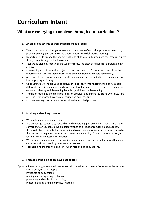## **Curriculum Intent**

#### **What are we trying to achieve through our curriculum?**

#### **1. An ambitious scheme of work that challenges all pupils**

- Year group teams work together to develop a scheme of work that promotes reasoning, problem solving, perseverance and opportunities for collaborative learning.
- Opportunities to embed fluency are built in to all topics. Full curriculum coverage is ensured through monitoring and book scrutiny.
- Year group planning meetings are used to discuss the pitch of lessons for different ability groups.
- Pre-learning tasks inform the subject content and depth of future topics. We adjust the scheme of work for individual classes and the year group as a whole accordingly.
- Assessment for Learning questions and key vocabulary are included in lesson planning to inform pupil questioning.
- Co-coaching sessions are used to discuss the pedagogy of forthcoming topics. We share different strategies, resources and assessment for learning tools to ensure all teachers are constantly sharing and developing knowledge, skill and understanding.
- Transition meetings and cross phase lesson observations ensure KS2 starts where KS1 left off. This is monitored through monitoring and book scrutiny.
- Problem-solving questions are not restricted to worded problems.

#### **2. Inspiring and exciting students**

- We aim to make learning exciting.
- We encourage resilience by rewarding and celebrating perseverance rather than just the correct answer. Students develop perseverance as a result of regular exposure to low threshold – high ceiling tasks, opportunities to work collaboratively and a classroom culture that values making mistakes as a step towards new learning. This is monitored through learning walks and lesson observations.
- We promote independence by providing concrete materials and visual prompts that children can access without needing recourse to a teacher.
- Teachers give children thinking time when responding to questions.

#### **3. Embedding the skills pupils have been taught**

Opportunities are sought to embed mathematics in the wider curriculum. Some examples include:

interpreting/drawing graphs investigating populations reading and interpreting problems presenting and explaining reasoning measuring using a range of measuring tools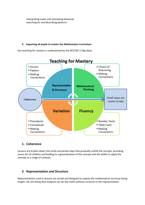interpreting scales and calculating distances searching for and describing patterns

#### **4. Expecting all pupils to master the Mathematics Curriculum**

Our teaching for mastery is underpinned by the NCETM's 5 Big Ideas.



#### **1. Coherence**

Lessons are broken down into small connected steps that gradually unfold the concept, providing access for all children and leading to a generalisation of the concept and the ability to apply the concept to a range of contexts.

#### **2. Representation and Structure**

Representations used in lessons are varied and designed to expose the mathematical structure being taught, the aim being that students can do the maths without recourse to the representation.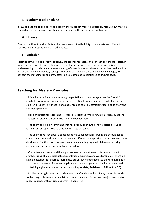#### **3. Mathematical Thinking**

If taught ideas are to be understood deeply, they must not merely be passively received but must be worked on by the student: thought about, reasoned with and discussed with others.

#### **4. Fluency**

Quick and efficient recall of facts and procedures and the flexibility to move between different contexts and representations of mathematics.

#### **5. Variation**

Variation is twofold. It is firstly about how the teacher represents the concept being taught, often in more than one way, to draw attention to critical aspects, and to develop deep and holistic understanding. It is also about the sequencing of the episodes, activities and exercises used within a lesson and follow up practice, paying attention to what is kept the same and what changes, to connect the mathematics and draw attention to mathematical relationships and structure.

#### **Teaching for Mastery Principles**

• It is achievable for all – we have high expectations and encourage a positive 'can do' mindset towards mathematics in all pupils, creating learning experiences which develop children's resilience in the face of a challenge and carefully scaffolding learning so everyone can make progress.

• Deep and sustainable learning – lessons are designed with careful small steps, questions and tasks in place to ensure the learning is not superficial.

• The ability to build on something that has already been sufficiently mastered – pupils' learning of concepts is seen a continuum across the school.

• The ability to reason about a concept and make connections – pupils are encouraged to make connections and spot patterns between different concepts (E.g. the link between ratio, division and fractions) and use precise mathematical language, which frees up working memory and deepens conceptual understanding.

• Conceptual and procedural fluency – teachers move mathematics from one context to another (using objects, pictorial representations, equations and word problems). There are high expectations for pupils to learn times tables, key number facts (so they are automatic) and have a true sense of number. Pupils are also encouraged to think whether their method for tackling a given calculation or problem is **Appropriate**, **Reliable** and **Efficient** (A.R.E).

• Problem solving is central – this develops pupils' understanding of why something works so that they truly have an appreciation of what they are doing rather than just learning to repeat routines without grasping what is happening.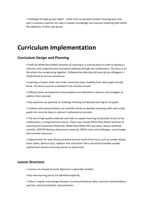• Challenge through greater depth - rather than accelerated content, (moving onto next year's concepts) teachers set tasks to deepen knowledge and improve reasoning skills within the objectives of their year group.

## **Curriculum Implementation**

#### **Curriculum Design and Planning**

• Staff use White Rose Maths Schemes of Learning as a starting point in order to develop a coherent and comprehensive conceptual pathway through the mathematics. The focus is on the whole class progressing together. Collaborative planning with year group colleagues is fundamental to ensure consistency.

• Learning is broken down into small, connected steps, building from what pupils already know. The lesson journey is detailed in the scheme of work.

• Difficult points and potential misconceptions are identified in advance and strategies to address them planned.

• Key questions are planned, to challenge thinking and develop learning for all pupils.

• Contexts and representations are carefully chosen to develop reasoning skills and to help pupils link concrete ideas to abstract mathematical concepts.

• The use of high quality materials and tasks to support learning and provide access to the mathematics, is integrated into lessons. These may include White Rose Maths Schemes of Learning and Assessment Materials, White Rose Maths RPS questions, Abacus textbook activities, NCETM Mastery Assessment materials, NRICH tasks and challenges, visual images and concrete resources.

• Opportunities for extra fluency practice (instant recall of key facts, such as number bonds, times tables, division facts, addition and subtraction facts) should be provided outside mathematics lessons (morning starters or postlunch).

#### **Lesson Structure**

- Lessons are sharply focused; digression is generally avoided.
- Key new learning points are identified explicitly.

• There is regular interchange between concrete/contextual ideas, pictorial representations and their abstract/symbolic representation.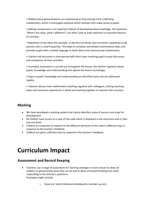• Mathematical generalisations are emphasised as they emerge from underlying mathematics, which is thoroughly explored within contexts that make sense to pupils.

• Making comparisons is an important feature of developing deep knowledge. The questions "What's the same, what's different?" are often used to draw attention to essential features of concepts.

• Repetition of key ideas (for example, in the form of whole class recitation, repeating to talk partners etc) is used frequently. This helps to verbalise and embed mathematical ideas and provides pupils with a shared language to think about and communicate mathematics.

• Teacher-led discussion is interspersed with short tasks involving pupil to pupil discussion and completion of short activities.

• Formative assessment is carried out throughout the lesson; the teacher regularly checks pupils' knowledge and understanding and adjusts the lesson accordingly.

• Gaps in pupils' knowledge and understanding are identified early and are addressed rapidly.

• Teachers discuss their mathematics teaching regularly with colleagues, sharing teaching ideas and classroom experiences in detail and working together to improve their practice.

#### **Marking**

- We have developed a marking system that clearly identifies areas of success and areas for development.
- All children have access to a copy of the code which is displayed in the classroom and in their exercise book.
- Children are expected to respond to the different elements of the code in different ways in response to the teacher's feedback.
- Children are given sufficient time to respond to the teacher's feedback.

## **Curriculum Impact**

#### **Assessment and Record Keeping**

- Teachers use a range of assessment for learning strategies in every lesson to allow all children to demonstrate what they can do and to allow increased thinking time when responding to the teacher's questions. Strategies might include:
	- o 'show me' tools (individual whiteboards, numbers up etc)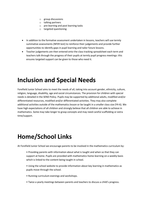- o group discussions
- o talking partners
- o pre-learning and post learning tasks
- o targeted questioning
- In addition to the formative assessment undertaken in lessons, teachers will use termly summative assessments (NFER test) to reinforce their judgements and provide further opportunities to identify gaps in pupil learning and tailor future lessons.
- Teacher judgements are then entered onto the class tracking spreadsheet each term and teachers talk through the progress of their pupils at termly pupil progress meetings: this ensures targeted support can be given to those who need it.

## **Inclusion and Special Needs**

Forefield Junior School aims to meet the needs of all, taking into account gender, ethnicity, culture, religion, language, disability, age and social circumstances. The provision for children with special needs is detailed in the SEND Policy. Pupils may be supported by additional adults, modified and/or differentiated resources, modified and/or differentiated activities. They may also complete additional activities outside of the mathematics lesson or be taught in a smaller class size (Y4-6). We have high expectations of all children and strongly believe that all children are able to achieve in mathematics. Some may take longer to grasp concepts and may need careful scaffolding or extra time/support.

## **Home/School Links**

At Forefield Junior School we encourage parents to be involved in the mathematics curriculum by:

- Providing parents with information about what is taught and when so that they can support at home. Pupils are provided with mathematics home-learning on a weekly basis which is linked to the content being taught in school.
- Using the school website to provide information about key learning in mathematics as pupils move through the school.
- Running curriculum evenings and workshops.
- Twice a yearly meetings between parents and teachers to discuss a child's progress.